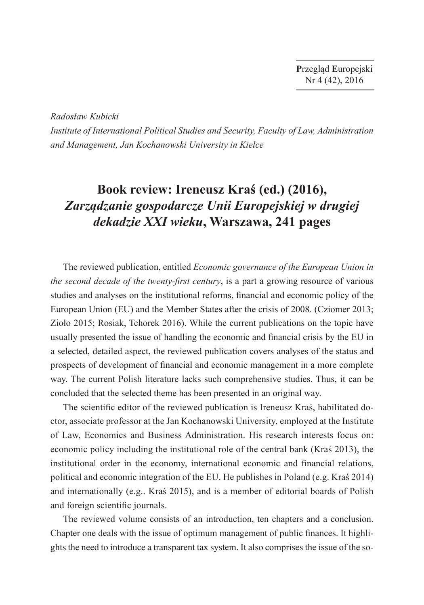**P**rzegląd **E**uropejski Nr 4 (42), 2016

*Radosław Kubicki*

*Institute of International Political Studies and Security, Faculty of Law, Administration and Management, Jan Kochanowski University in Kielce*

## **Book review: Ireneusz Kraś (ed.) (2016),**  *Zarządzanie gospodarcze Unii Europejskiej w drugiej dekadzie XXI wieku***, Warszawa, 241 pages**

The reviewed publication, entitled *Economic governance of the European Union in the second decade of the twenty-first century*, is a part a growing resource of various studies and analyses on the institutional reforms, financial and economic policy of the European Union (EU) and the Member States after the crisis of 2008. (Cziomer 2013; Zioło 2015; Rosiak, Tchorek 2016). While the current publications on the topic have usually presented the issue of handling the economic and financial crisis by the EU in a selected, detailed aspect, the reviewed publication covers analyses of the status and prospects of development of financial and economic management in a more complete way. The current Polish literature lacks such comprehensive studies. Thus, it can be concluded that the selected theme has been presented in an original way.

The scientific editor of the reviewed publication is Ireneusz Kraś, habilitated doctor, associate professor at the Jan Kochanowski University, employed at the Institute of Law, Economics and Business Administration. His research interests focus on: economic policy including the institutional role of the central bank (Kraś 2013), the institutional order in the economy, international economic and financial relations, political and economic integration of the EU. He publishes in Poland (e.g. Kraś 2014) and internationally (e.g.. Kraś 2015), and is a member of editorial boards of Polish and foreign scientific journals.

The reviewed volume consists of an introduction, ten chapters and a conclusion. Chapter one deals with the issue of optimum management of public finances. It highlights the need to introduce a transparent tax system. It also comprises the issue of the so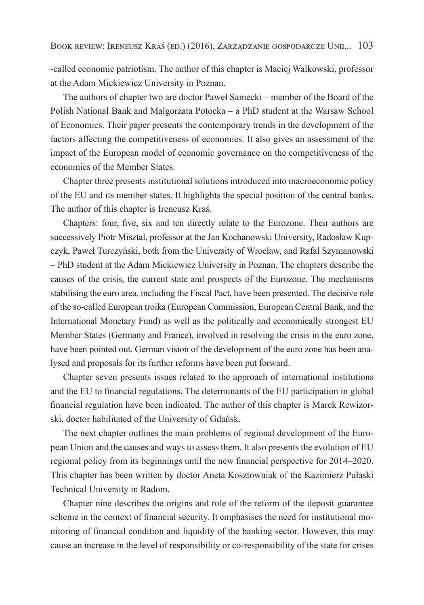-called economic patriotism. The author of this chapter is Maciej Walkowski, professor at the Adam Mickiewicz University in Poznan.

The authors of chapter two are doctor Paweł Samecki – member of the Board of the Polish National Bank and Małgorzata Potocka – a PhD student at the Warsaw School of Economics. Their paper presents the contemporary trends in the development of the factors affecting the competitiveness of economies. It also gives an assessment of the impact of the European model of economic governance on the competitiveness of the economies of the Member States.

Chapter three presents institutional solutions introduced into macroeconomic policy of the EU and its member states. It highlights the special position of the central banks. The author of this chapter is Ireneusz Kraś.

Chapters: four, five, six and ten directly relate to the Eurozone. Their authors are successively Piotr Misztal, professor at the Jan Kochanowski University, Radosław Kupczyk, Paweł Turczyński, both from the University of Wrocław, and Rafał Szymanowski – PhD student at the Adam Mickiewicz University in Poznan. The chapters describe the causes of the crisis, the current state and prospects of the Eurozone. The mechanisms stabilising the euro area, including the Fiscal Pact, have been presented. The decisive role of the so-called European troika (European Commission, European Central Bank, and the International Monetary Fund) as well as the politically and economically strongest EU Member States (Germany and France), involved in resolving the crisis in the euro zone, have been pointed out. German vision of the development of the euro zone has been analysed and proposals for its further reforms have been put forward.

Chapter seven presents issues related to the approach of international institutions and the EU to financial regulations. The determinants of the EU participation in global financial regulation have been indicated. The author of this chapter is Marek Rewizorski, doctor habilitated of the University of Gdańsk.

The next chapter outlines the main problems of regional development of the European Union and the causes and ways to assess them. It also presents the evolution of EU regional policy from its beginnings until the new financial perspective for 2014–2020. This chapter has been written by doctor Aneta Kosztowniak of the Kazimierz Pułaski Technical University in Radom.

Chapter nine describes the origins and role of the reform of the deposit guarantee scheme in the context of financial security. It emphasises the need for institutional monitoring of financial condition and liquidity of the banking sector. However, this may cause an increase in the level of responsibility or co-responsibility of the state for crises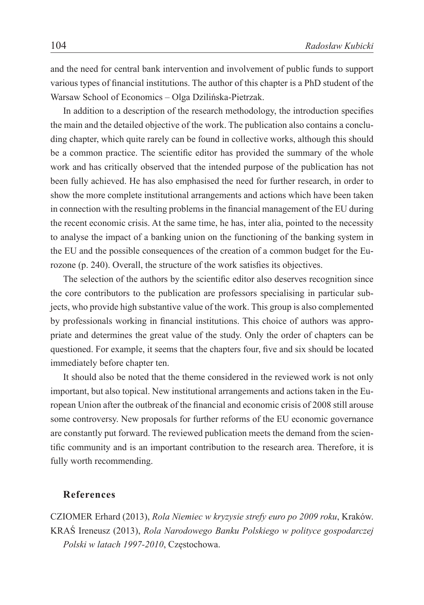and the need for central bank intervention and involvement of public funds to support various types of financial institutions. The author of this chapter is a PhD student of the Warsaw School of Economics – Olga Dzilińska-Pietrzak.

In addition to a description of the research methodology, the introduction specifies the main and the detailed objective of the work. The publication also contains a concluding chapter, which quite rarely can be found in collective works, although this should be a common practice. The scientific editor has provided the summary of the whole work and has critically observed that the intended purpose of the publication has not been fully achieved. He has also emphasised the need for further research, in order to show the more complete institutional arrangements and actions which have been taken in connection with the resulting problems in the financial management of the EU during the recent economic crisis. At the same time, he has, inter alia, pointed to the necessity to analyse the impact of a banking union on the functioning of the banking system in the EU and the possible consequences of the creation of a common budget for the Eurozone (p. 240). Overall, the structure of the work satisfies its objectives.

The selection of the authors by the scientific editor also deserves recognition since the core contributors to the publication are professors specialising in particular subjects, who provide high substantive value of the work. This group is also complemented by professionals working in financial institutions. This choice of authors was appropriate and determines the great value of the study. Only the order of chapters can be questioned. For example, it seems that the chapters four, five and six should be located immediately before chapter ten.

It should also be noted that the theme considered in the reviewed work is not only important, but also topical. New institutional arrangements and actions taken in the European Union after the outbreak of the financial and economic crisis of 2008 still arouse some controversy. New proposals for further reforms of the EU economic governance are constantly put forward. The reviewed publication meets the demand from the scientific community and is an important contribution to the research area. Therefore, it is fully worth recommending.

## **References**

CZIOMER Erhard (2013), *Rola Niemiec w kryzysie strefy euro po 2009 roku*, Kraków. KRAŚ Ireneusz (2013), *Rola Narodowego Banku Polskiego w polityce gospodarczej Polski w latach 1997-2010*, Częstochowa.